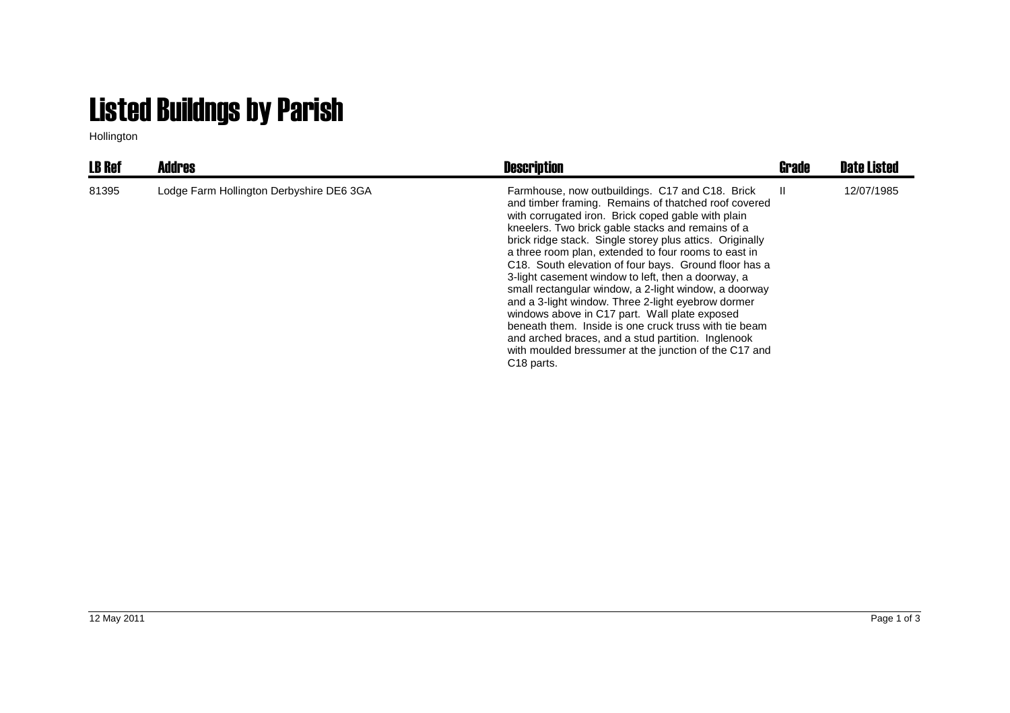## Listed Buildngs by Parish

Hollington

| <b>LB Ref</b> | Addres                                   | <b>Description</b>                                                                                                                                                                                                                                                                                                                                                                                                                                                                                                                                                                                                                                                                                                                                                                                                      | <b>Grade</b> | <b>Date Listed</b> |
|---------------|------------------------------------------|-------------------------------------------------------------------------------------------------------------------------------------------------------------------------------------------------------------------------------------------------------------------------------------------------------------------------------------------------------------------------------------------------------------------------------------------------------------------------------------------------------------------------------------------------------------------------------------------------------------------------------------------------------------------------------------------------------------------------------------------------------------------------------------------------------------------------|--------------|--------------------|
| 81395         | Lodge Farm Hollington Derbyshire DE6 3GA | Farmhouse, now outbuildings. C17 and C18. Brick<br>and timber framing. Remains of thatched roof covered<br>with corrugated iron. Brick coped gable with plain<br>kneelers. Two brick gable stacks and remains of a<br>brick ridge stack. Single storey plus attics. Originally<br>a three room plan, extended to four rooms to east in<br>C18. South elevation of four bays. Ground floor has a<br>3-light casement window to left, then a doorway, a<br>small rectangular window, a 2-light window, a doorway<br>and a 3-light window. Three 2-light eyebrow dormer<br>windows above in C17 part. Wall plate exposed<br>beneath them. Inside is one cruck truss with tie beam<br>and arched braces, and a stud partition. Inglenook<br>with moulded bressumer at the junction of the C17 and<br>C <sub>18</sub> parts. | H.           | 12/07/1985         |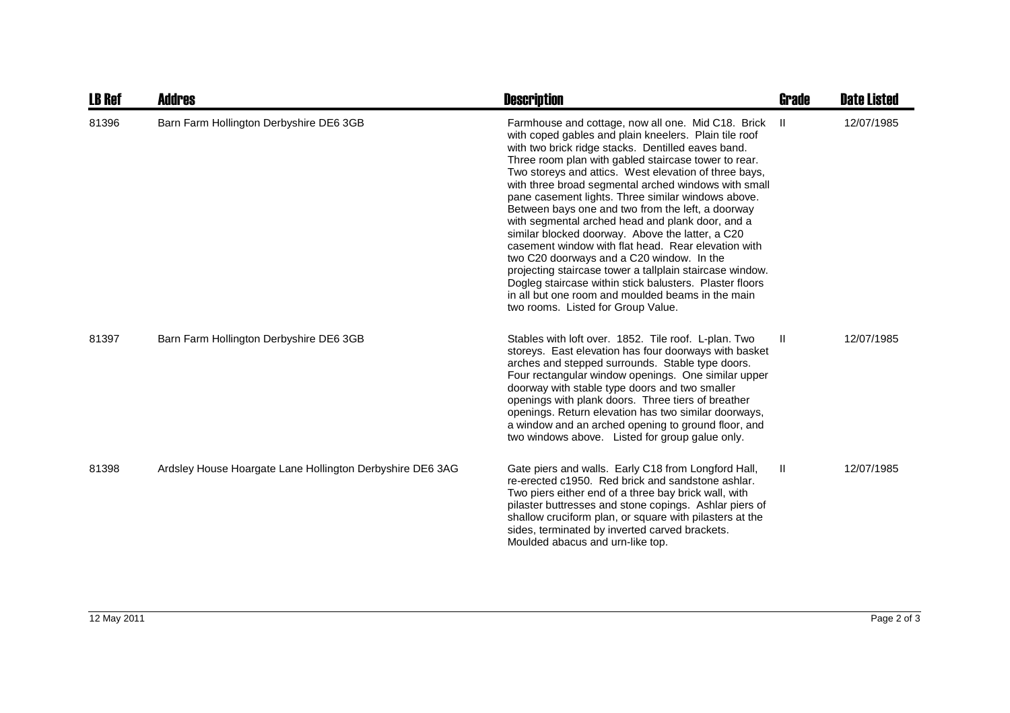| <b>LB Ref</b> | <b>Addres</b>                                             | <b>Description</b>                                                                                                                                                                                                                                                                                                                                                                                                                                                                                                                                                                                                                                                                                                                                                                                                                                                                  | Grade | <b>Date Listed</b> |
|---------------|-----------------------------------------------------------|-------------------------------------------------------------------------------------------------------------------------------------------------------------------------------------------------------------------------------------------------------------------------------------------------------------------------------------------------------------------------------------------------------------------------------------------------------------------------------------------------------------------------------------------------------------------------------------------------------------------------------------------------------------------------------------------------------------------------------------------------------------------------------------------------------------------------------------------------------------------------------------|-------|--------------------|
| 81396         | Barn Farm Hollington Derbyshire DE6 3GB                   | Farmhouse and cottage, now all one. Mid C18. Brick<br>with coped gables and plain kneelers. Plain tile roof<br>with two brick ridge stacks. Dentilled eaves band.<br>Three room plan with gabled staircase tower to rear.<br>Two storeys and attics. West elevation of three bays,<br>with three broad segmental arched windows with small<br>pane casement lights. Three similar windows above.<br>Between bays one and two from the left, a doorway<br>with segmental arched head and plank door, and a<br>similar blocked doorway. Above the latter, a C20<br>casement window with flat head. Rear elevation with<br>two C20 doorways and a C20 window. In the<br>projecting staircase tower a tallplain staircase window.<br>Dogleg staircase within stick balusters. Plaster floors<br>in all but one room and moulded beams in the main<br>two rooms. Listed for Group Value. | -H.   | 12/07/1985         |
| 81397         | Barn Farm Hollington Derbyshire DE6 3GB                   | Stables with loft over. 1852. Tile roof. L-plan. Two<br>storeys. East elevation has four doorways with basket<br>arches and stepped surrounds. Stable type doors.<br>Four rectangular window openings. One similar upper<br>doorway with stable type doors and two smaller<br>openings with plank doors. Three tiers of breather<br>openings. Return elevation has two similar doorways,<br>a window and an arched opening to ground floor, and<br>two windows above. Listed for group galue only.                                                                                                                                                                                                                                                                                                                                                                                  | Ш     | 12/07/1985         |
| 81398         | Ardsley House Hoargate Lane Hollington Derbyshire DE6 3AG | Gate piers and walls. Early C18 from Longford Hall,<br>re-erected c1950. Red brick and sandstone ashlar.<br>Two piers either end of a three bay brick wall, with<br>pilaster buttresses and stone copings. Ashlar piers of<br>shallow cruciform plan, or square with pilasters at the<br>sides, terminated by inverted carved brackets.<br>Moulded abacus and urn-like top.                                                                                                                                                                                                                                                                                                                                                                                                                                                                                                         | Ш     | 12/07/1985         |